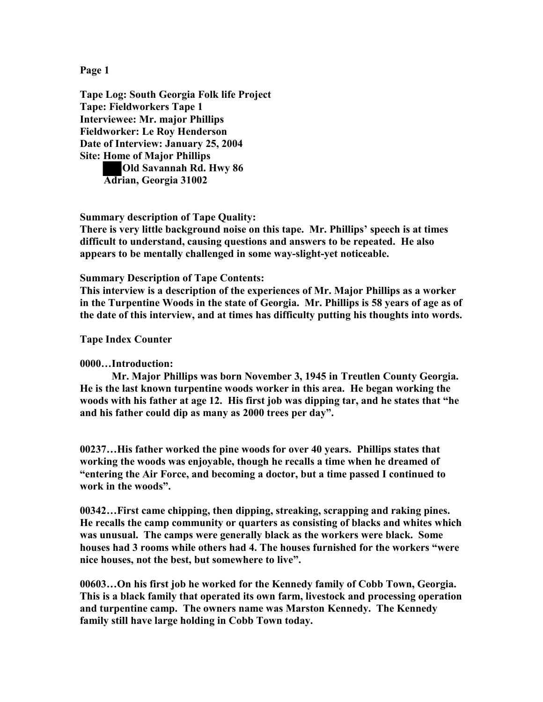**Page 1**

**Tape Log: South Georgia Folk life Project Tape: Fieldworkers Tape 1 Interviewee: Mr. major Phillips Fieldworker: Le Roy Henderson Date of Interview: January 25, 2004 Site: Home of Major Phillips Old Savannah Rd. Hwy 86 Adrian, Georgia 31002**

**Summary description of Tape Quality:**

**There is very little background noise on this tape. Mr. Phillips' speech is at times difficult to understand, causing questions and answers to be repeated. He also appears to be mentally challenged in some way-slight-yet noticeable.**

**Summary Description of Tape Contents:**

**This interview is a description of the experiences of Mr. Major Phillips as a worker in the Turpentine Woods in the state of Georgia. Mr. Phillips is 58 years of age as of the date of this interview, and at times has difficulty putting his thoughts into words.**

**Tape Index Counter** 

**0000…Introduction:**

**Mr. Major Phillips was born November 3, 1945 in Treutlen County Georgia. He is the last known turpentine woods worker in this area. He began working the woods with his father at age 12. His first job was dipping tar, and he states that "he and his father could dip as many as 2000 trees per day".**

**00237…His father worked the pine woods for over 40 years. Phillips states that working the woods was enjoyable, though he recalls a time when he dreamed of "entering the Air Force, and becoming a doctor, but a time passed I continued to work in the woods".**

**00342…First came chipping, then dipping, streaking, scrapping and raking pines. He recalls the camp community or quarters as consisting of blacks and whites which was unusual. The camps were generally black as the workers were black. Some houses had 3 rooms while others had 4. The houses furnished for the workers "were nice houses, not the best, but somewhere to live".**

**00603…On his first job he worked for the Kennedy family of Cobb Town, Georgia. This is a black family that operated its own farm, livestock and processing operation and turpentine camp. The owners name was Marston Kennedy. The Kennedy family still have large holding in Cobb Town today.**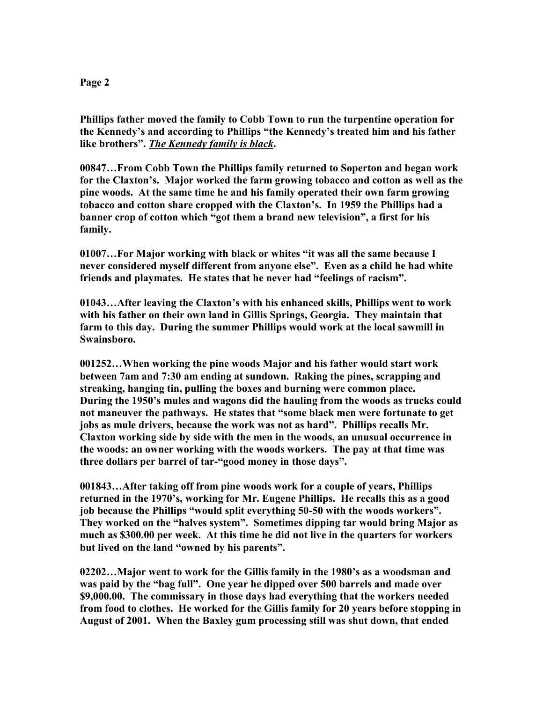## **Page 2**

**Phillips father moved the family to Cobb Town to run the turpentine operation for the Kennedy's and according to Phillips "the Kennedy's treated him and his father like brothers".** *The Kennedy family is black***.**

**00847…From Cobb Town the Phillips family returned to Soperton and began work for the Claxton's. Major worked the farm growing tobacco and cotton as well as the pine woods. At the same time he and his family operated their own farm growing tobacco and cotton share cropped with the Claxton's. In 1959 the Phillips had a banner crop of cotton which "got them a brand new television", a first for his family.**

**01007…For Major working with black or whites "it was all the same because I never considered myself different from anyone else". Even as a child he had white friends and playmates. He states that he never had "feelings of racism".**

**01043…After leaving the Claxton's with his enhanced skills, Phillips went to work with his father on their own land in Gillis Springs, Georgia. They maintain that farm to this day. During the summer Phillips would work at the local sawmill in Swainsboro.**

**001252…When working the pine woods Major and his father would start work between 7am and 7:30 am ending at sundown. Raking the pines, scrapping and streaking, hanging tin, pulling the boxes and burning were common place. During the 1950's mules and wagons did the hauling from the woods as trucks could not maneuver the pathways. He states that "some black men were fortunate to get jobs as mule drivers, because the work was not as hard". Phillips recalls Mr. Claxton working side by side with the men in the woods, an unusual occurrence in the woods: an owner working with the woods workers. The pay at that time was three dollars per barrel of tar-"good money in those days".**

**001843…After taking off from pine woods work for a couple of years, Phillips returned in the 1970's, working for Mr. Eugene Phillips. He recalls this as a good job because the Phillips "would split everything 50-50 with the woods workers". They worked on the "halves system". Sometimes dipping tar would bring Major as much as \$300.00 per week. At this time he did not live in the quarters for workers but lived on the land "owned by his parents".**

**02202…Major went to work for the Gillis family in the 1980's as a woodsman and was paid by the "bag full". One year he dipped over 500 barrels and made over \$9,000.00. The commissary in those days had everything that the workers needed from food to clothes. He worked for the Gillis family for 20 years before stopping in August of 2001. When the Baxley gum processing still was shut down, that ended**